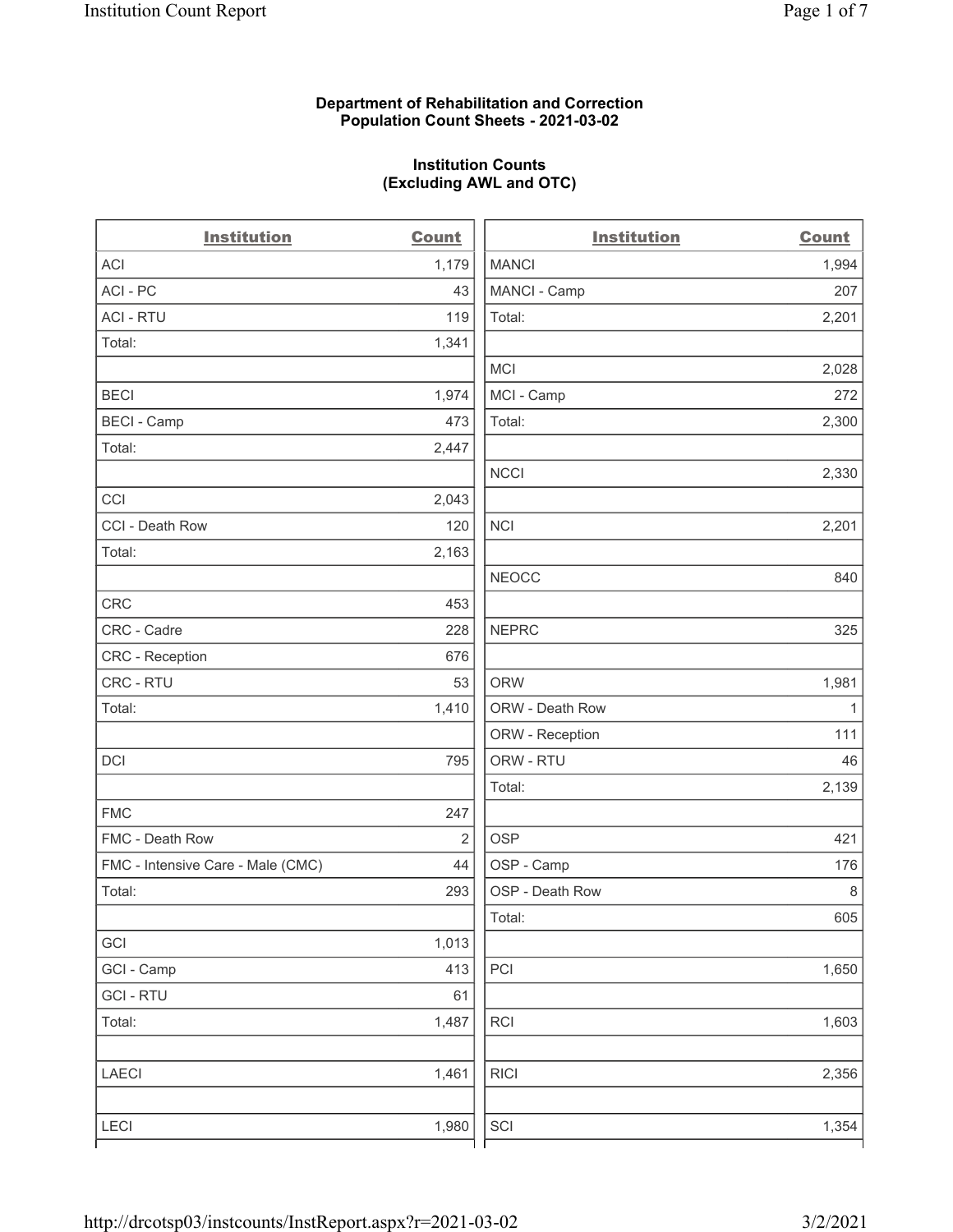### Department of Rehabilitation and Correction Population Count Sheets - 2021-03-02

### Institution Counts (Excluding AWL and OTC)

| <b>Institution</b>                | <b>Count</b>   | <b>Institution</b> | <b>Count</b> |
|-----------------------------------|----------------|--------------------|--------------|
| ACI                               | 1,179          | <b>MANCI</b>       | 1,994        |
| ACI-PC                            | 43             | MANCI - Camp       | 207          |
| <b>ACI - RTU</b>                  | 119            | Total:             | 2,201        |
| Total:                            | 1,341          |                    |              |
|                                   |                | MCI                | 2,028        |
| <b>BECI</b>                       | 1,974          | MCI - Camp         | 272          |
| <b>BECI - Camp</b>                | 473            | Total:             | 2,300        |
| Total:                            | 2,447          |                    |              |
|                                   |                | <b>NCCI</b>        | 2,330        |
| CCI                               | 2,043          |                    |              |
| CCI - Death Row                   | 120            | <b>NCI</b>         | 2,201        |
| Total:                            | 2,163          |                    |              |
|                                   |                | <b>NEOCC</b>       | 840          |
| <b>CRC</b>                        | 453            |                    |              |
| CRC - Cadre                       | 228            | <b>NEPRC</b>       | 325          |
| CRC - Reception                   | 676            |                    |              |
| CRC - RTU                         | 53             | <b>ORW</b>         | 1,981        |
| Total:                            | 1,410          | ORW - Death Row    | $\mathbf{1}$ |
|                                   |                | ORW - Reception    | 111          |
| DCI                               | 795            | ORW - RTU          | 46           |
|                                   |                | Total:             | 2,139        |
| <b>FMC</b>                        | 247            |                    |              |
| FMC - Death Row                   | $\overline{2}$ | <b>OSP</b>         | 421          |
| FMC - Intensive Care - Male (CMC) | 44             | OSP - Camp         | 176          |
| Total:                            | 293            | OSP - Death Row    | $\,8\,$      |
|                                   |                | Total:             | 605          |
| GCI                               | 1,013          |                    |              |
| GCI - Camp                        | 413            | PCI                | 1,650        |
| <b>GCI-RTU</b>                    | 61             |                    |              |
| Total:                            | 1,487          | RCI                | 1,603        |
| <b>LAECI</b>                      | 1,461          | <b>RICI</b>        | 2,356        |
| <b>LECI</b>                       | 1,980          | SCI                | 1,354        |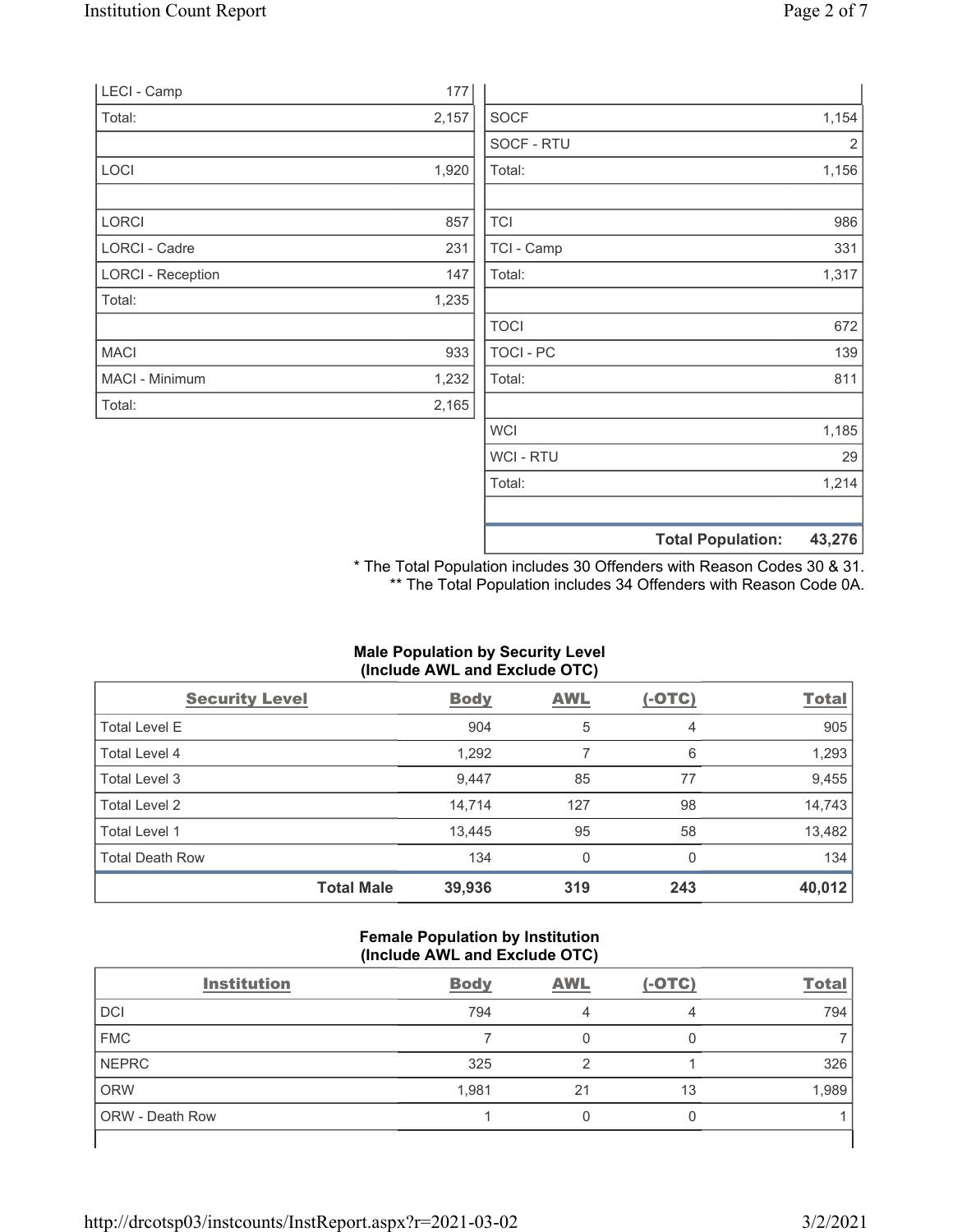|                          |       |                | <b>Total Population:</b> | 43,276 |
|--------------------------|-------|----------------|--------------------------|--------|
|                          |       |                |                          |        |
|                          |       | Total:         |                          | 1,214  |
|                          |       | <b>WCI-RTU</b> |                          | 29     |
|                          |       | <b>WCI</b>     |                          | 1,185  |
| Total:                   | 2,165 |                |                          |        |
| MACI - Minimum           | 1,232 | Total:         |                          | 811    |
| <b>MACI</b>              | 933   | TOCI - PC      |                          | 139    |
|                          |       | <b>TOCI</b>    |                          | 672    |
| Total:                   | 1,235 |                |                          |        |
| <b>LORCI - Reception</b> | 147   | Total:         |                          | 1,317  |
| <b>LORCI - Cadre</b>     | 231   | TCI - Camp     |                          | 331    |
| LORCI                    | 857   | <b>TCI</b>     |                          | 986    |
|                          |       |                |                          |        |
| LOCI                     | 1,920 | Total:         |                          | 1,156  |
|                          |       | SOCF - RTU     |                          | 2      |
| Total:                   | 2,157 | <b>SOCF</b>    |                          | 1,154  |
| LECI - Camp              | 177   |                |                          |        |

\* The Total Population includes 30 Offenders with Reason Codes 30 & 31. \*\* The Total Population includes 34 Offenders with Reason Code 0A.

# Male Population by Security Level (Include AWL and Exclude OTC)

| <b>Security Level</b>  |                   | <b>Body</b> | <b>AWL</b> | $(-OTC)$ | <b>Total</b> |
|------------------------|-------------------|-------------|------------|----------|--------------|
| <b>Total Level E</b>   |                   | 904         | 5          | 4        | 905          |
| Total Level 4          |                   | 1,292       |            | 6        | 1,293        |
| Total Level 3          |                   | 9,447       | 85         | 77       | 9,455        |
| Total Level 2          |                   | 14,714      | 127        | 98       | 14,743       |
| Total Level 1          |                   | 13,445      | 95         | 58       | 13,482       |
| <b>Total Death Row</b> |                   | 134         | 0          | $\Omega$ | 134          |
|                        | <b>Total Male</b> | 39,936      | 319        | 243      | 40,012       |

#### Female Population by Institution (Include AWL and Exclude OTC)

| <b>Institution</b>     | <b>Body</b> | <b>AWL</b> | $(-OTC)$ | <b>Total</b> |
|------------------------|-------------|------------|----------|--------------|
| DCI                    | 794         |            | 4        | 794          |
| <b>FMC</b>             |             |            |          |              |
| <b>NEPRC</b>           | 325         |            |          | 326          |
| <b>ORW</b>             | 1,981       | 21         | 13       | 1,989        |
| <b>ORW</b> - Death Row |             |            |          |              |
|                        |             |            |          |              |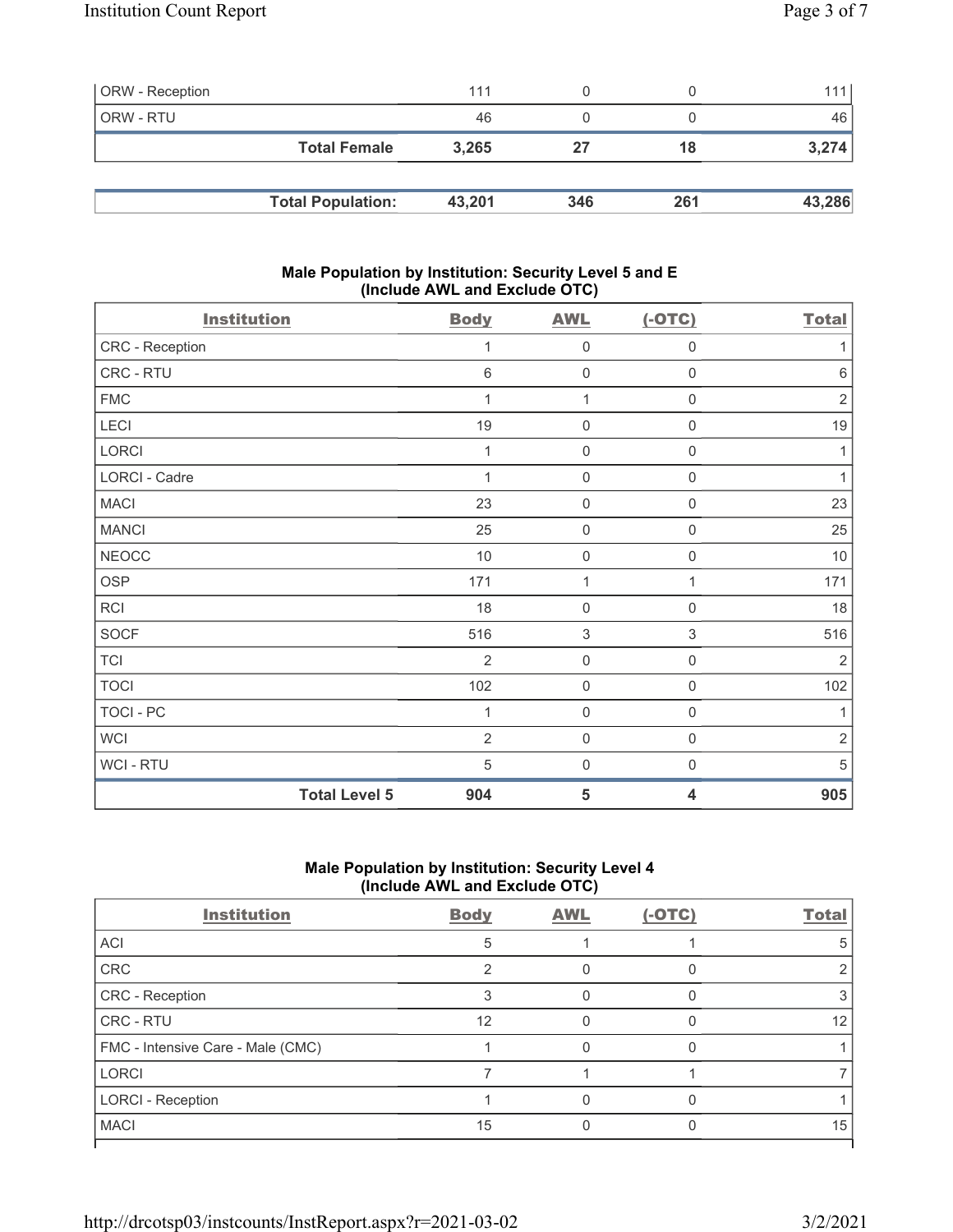| <b>ORW</b> - Reception |                          | 111    |     |     | 111    |
|------------------------|--------------------------|--------|-----|-----|--------|
| ORW - RTU              |                          | 46     |     |     | 46     |
|                        | <b>Total Female</b>      | 3.265  | 27  | 18  | 3,274  |
|                        |                          |        |     |     |        |
|                        | <b>Total Population:</b> | 43,201 | 346 | 261 | 43,286 |

### Male Population by Institution: Security Level 5 and E (Include AWL and Exclude OTC)

| <b>Institution</b>   |                      | <b>Body</b>    | <b>AWL</b>          | $(-OTC)$                  | <b>Total</b>   |
|----------------------|----------------------|----------------|---------------------|---------------------------|----------------|
| CRC - Reception      |                      | 1              | 0                   | 0                         | 1              |
| CRC - RTU            |                      | 6              | $\mathbf 0$         | $\mathbf 0$               | $6\,$          |
| <b>FMC</b>           |                      | 1              | 1                   | $\mathsf 0$               | $\overline{2}$ |
| LECI                 |                      | 19             | $\mathbf 0$         | $\mathbf 0$               | 19             |
| LORCI                |                      | 1              | $\mathbf 0$         | $\mathbf 0$               | 1              |
| <b>LORCI - Cadre</b> |                      | 1              | $\mathsf{O}\xspace$ | $\mathsf{O}\xspace$       | 1              |
| <b>MACI</b>          |                      | 23             | $\mathbf 0$         | $\mathsf 0$               | 23             |
| <b>MANCI</b>         |                      | 25             | $\mathsf{O}\xspace$ | $\mathsf 0$               | 25             |
| <b>NEOCC</b>         |                      | $10$           | $\mathsf{O}\xspace$ | $\mathbf 0$               | 10             |
| <b>OSP</b>           |                      | 171            | 1                   | 1                         | 171            |
| RCI                  |                      | 18             | $\mathbf 0$         | $\mathbf 0$               | 18             |
| <b>SOCF</b>          |                      | 516            | $\sqrt{3}$          | $\ensuremath{\mathsf{3}}$ | 516            |
| <b>TCI</b>           |                      | $\overline{2}$ | $\mathbf 0$         | $\mathbf 0$               | $\overline{2}$ |
| <b>TOCI</b>          |                      | 102            | $\mathsf{O}\xspace$ | $\mathsf 0$               | 102            |
| <b>TOCI - PC</b>     |                      | 1              | $\mathbf 0$         | $\mathbf 0$               | 1              |
| <b>WCI</b>           |                      | $\overline{2}$ | $\mathbf 0$         | $\mathbf 0$               | $\overline{2}$ |
| WCI - RTU            |                      | 5              | $\mathbf 0$         | $\mathbf 0$               | 5              |
|                      | <b>Total Level 5</b> | 904            | 5                   | 4                         | 905            |

# Male Population by Institution: Security Level 4 (Include AWL and Exclude OTC)

| <b>Institution</b>                | <b>Body</b> | <b>AWL</b> | (-OTC) | <b>Total</b> |
|-----------------------------------|-------------|------------|--------|--------------|
| ACI                               | 5           |            |        |              |
| <b>CRC</b>                        |             |            |        |              |
| CRC - Reception                   | ົ           |            |        |              |
| CRC - RTU                         | 12          |            |        | 12           |
| FMC - Intensive Care - Male (CMC) |             |            |        |              |
| <b>LORCI</b>                      |             |            |        |              |
| <b>LORCI - Reception</b>          |             |            |        |              |
| <b>MACI</b>                       | 15          |            |        | 15           |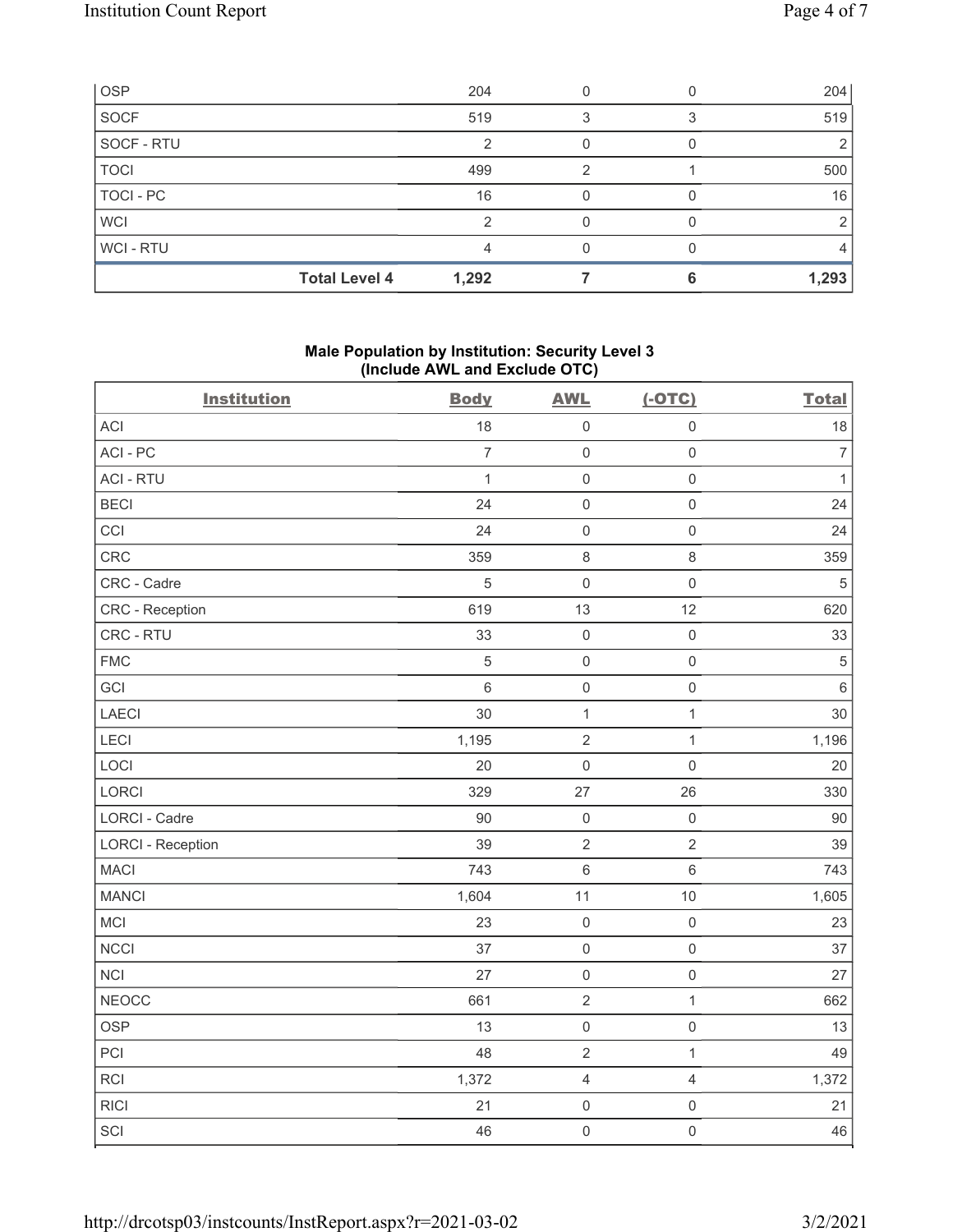| <b>OSP</b>     |                      | 204   |   | 204   |
|----------------|----------------------|-------|---|-------|
| <b>SOCF</b>    |                      | 519   | ິ | 519   |
| SOCF - RTU     |                      |       |   | 2     |
| <b>TOCI</b>    |                      | 499   | ◠ | 500   |
| TOCI - PC      |                      | 16    |   | 16    |
| <b>WCI</b>     |                      | ⌒     |   |       |
| <b>WCI-RTU</b> |                      |       |   |       |
|                | <b>Total Level 4</b> | 1,292 |   | 1,293 |

# Male Population by Institution: Security Level 3 (Include AWL and Exclude OTC)

| <b>Institution</b>       | <b>Body</b>    | <b>AWL</b>          | $(-OTC)$            | <b>Total</b>   |
|--------------------------|----------------|---------------------|---------------------|----------------|
| <b>ACI</b>               | 18             | $\mathsf{O}\xspace$ | $\mathsf{O}\xspace$ | 18             |
| ACI-PC                   | $\overline{7}$ | $\mathsf{O}$        | $\mathbf 0$         | $\overline{7}$ |
| <b>ACI - RTU</b>         | $\mathbf{1}$   | $\mathsf{O}\xspace$ | $\mathsf{O}\xspace$ | $\mathbf{1}$   |
| <b>BECI</b>              | 24             | $\mathsf{O}\xspace$ | $\mathsf 0$         | 24             |
| CCI                      | 24             | $\mathsf{O}\xspace$ | $\mathsf{O}\xspace$ | 24             |
| CRC                      | 359            | $\,8\,$             | $\,8\,$             | 359            |
| CRC - Cadre              | $\sqrt{5}$     | $\mathsf{O}\xspace$ | $\mathsf 0$         | $\sqrt{5}$     |
| CRC - Reception          | 619            | 13                  | 12                  | 620            |
| CRC - RTU                | 33             | $\mathsf{O}\xspace$ | $\mathsf 0$         | 33             |
| <b>FMC</b>               | $\sqrt{5}$     | $\mathsf{O}$        | $\mathsf{O}\xspace$ | $\mathbf 5$    |
| GCI                      | $\,6\,$        | $\mathsf{O}$        | $\mathsf 0$         | $\,6\,$        |
| LAECI                    | 30             | $\mathbf 1$         | $\mathbf 1$         | 30             |
| LECI                     | 1,195          | $\sqrt{2}$          | $\mathbf{1}$        | 1,196          |
| LOCI                     | 20             | $\mathsf{O}\xspace$ | $\mathbf 0$         | 20             |
| LORCI                    | 329            | 27                  | 26                  | 330            |
| <b>LORCI - Cadre</b>     | 90             | $\mathbf 0$         | $\mathsf{O}\xspace$ | 90             |
| <b>LORCI - Reception</b> | 39             | $\sqrt{2}$          | $\overline{2}$      | 39             |
| <b>MACI</b>              | 743            | $\,$ 6 $\,$         | $\,6\,$             | 743            |
| <b>MANCI</b>             | 1,604          | 11                  | 10                  | 1,605          |
| MCI                      | 23             | $\mathbf 0$         | $\mathsf 0$         | 23             |
| <b>NCCI</b>              | 37             | $\mathsf{O}$        | $\mathsf 0$         | 37             |
| NCI                      | 27             | $\mathsf{O}\xspace$ | $\mathsf 0$         | 27             |
| <b>NEOCC</b>             | 661            | $\sqrt{2}$          | $\mathbf{1}$        | 662            |
| <b>OSP</b>               | 13             | $\mathsf{O}\xspace$ | $\mathsf{O}\xspace$ | 13             |
| PCI                      | 48             | $\mathbf 2$         | $\mathbf{1}$        | 49             |
| RCI                      | 1,372          | $\overline{4}$      | $\overline{4}$      | 1,372          |
| <b>RICI</b>              | 21             | $\mathsf{O}\xspace$ | $\mathsf 0$         | 21             |
| SCI                      | 46             | $\mathsf{O}$        | $\mathsf{O}\xspace$ | 46             |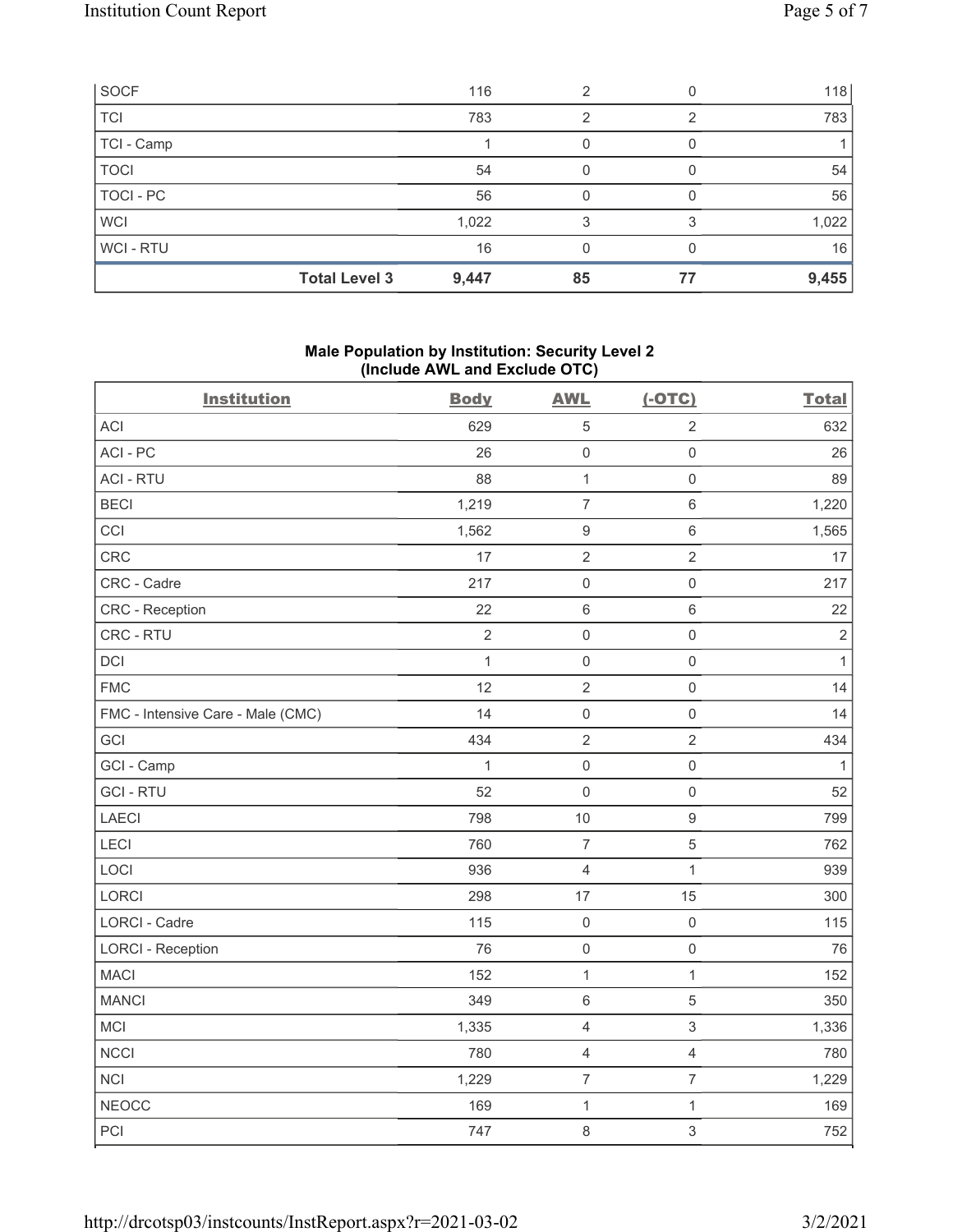| SOCF             |                      | 116   | っ  |    | 118   |
|------------------|----------------------|-------|----|----|-------|
| <b>TCI</b>       |                      | 783   | 2  |    | 783   |
| TCI - Camp       |                      |       |    |    |       |
| <b>TOCI</b>      |                      | 54    |    |    | 54    |
| <b>TOCI - PC</b> |                      | 56    |    |    | 56    |
| <b>WCI</b>       |                      | 1,022 | 3  |    | 1,022 |
| WCI - RTU        |                      | 16    |    |    | 16    |
|                  | <b>Total Level 3</b> | 9,447 | 85 | 77 | 9,455 |

# Male Population by Institution: Security Level 2 (Include AWL and Exclude OTC)

| <b>Institution</b>                | <b>Body</b>  | <b>AWL</b>          | $(-OTC)$            | <b>Total</b> |
|-----------------------------------|--------------|---------------------|---------------------|--------------|
| <b>ACI</b>                        | 629          | $\mathbf 5$         | $\overline{2}$      | 632          |
| ACI-PC                            | 26           | $\mathsf{O}\xspace$ | $\mathsf 0$         | 26           |
| <b>ACI - RTU</b>                  | 88           | $\mathbf{1}$        | $\mathsf{O}\xspace$ | 89           |
| <b>BECI</b>                       | 1,219        | $\overline{7}$      | $\,6\,$             | 1,220        |
| CCI                               | 1,562        | $\boldsymbol{9}$    | $\,6$               | 1,565        |
| <b>CRC</b>                        | 17           | $\sqrt{2}$          | $\sqrt{2}$          | 17           |
| CRC - Cadre                       | 217          | $\mathsf 0$         | $\mathsf 0$         | 217          |
| CRC - Reception                   | 22           | $\,6\,$             | $\,6\,$             | 22           |
| CRC - RTU                         | $\sqrt{2}$   | $\mathbf 0$         | $\mathsf 0$         | $\sqrt{2}$   |
| DCI                               | $\mathbf{1}$ | $\mathsf 0$         | $\mathsf{O}\xspace$ | $\mathbf{1}$ |
| <b>FMC</b>                        | 12           | $\sqrt{2}$          | $\mathsf{O}\xspace$ | 14           |
| FMC - Intensive Care - Male (CMC) | 14           | $\mathsf 0$         | $\mathsf{O}\xspace$ | 14           |
| GCI                               | 434          | $\sqrt{2}$          | $\overline{2}$      | 434          |
| GCI - Camp                        | 1            | $\mathsf 0$         | $\mathsf{O}\xspace$ | $\mathbf{1}$ |
| <b>GCI-RTU</b>                    | 52           | $\mathbf 0$         | $\mathsf 0$         | 52           |
| LAECI                             | 798          | $10$                | $\boldsymbol{9}$    | 799          |
| LECI                              | 760          | $\overline{7}$      | 5                   | 762          |
| LOCI                              | 936          | $\overline{4}$      | $\mathbf{1}$        | 939          |
| <b>LORCI</b>                      | 298          | 17                  | 15                  | 300          |
| LORCI - Cadre                     | 115          | $\mathsf 0$         | $\mathsf{O}\xspace$ | 115          |
| <b>LORCI - Reception</b>          | 76           | $\mathsf 0$         | $\mathsf{O}\xspace$ | 76           |
| <b>MACI</b>                       | 152          | $\mathbf{1}$        | $\mathbf{1}$        | 152          |
| <b>MANCI</b>                      | 349          | $\,6\,$             | $\mathbf 5$         | 350          |
| MCI                               | 1,335        | $\overline{4}$      | $\mathfrak{S}$      | 1,336        |
| <b>NCCI</b>                       | 780          | $\sqrt{4}$          | $\overline{4}$      | 780          |
| NCI                               | 1,229        | $\boldsymbol{7}$    | $\boldsymbol{7}$    | 1,229        |
| <b>NEOCC</b>                      | 169          | $\mathbf{1}$        | $\mathbf{1}$        | 169          |
| PCI                               | 747          | $\,8\,$             | $\mathfrak{S}$      | 752          |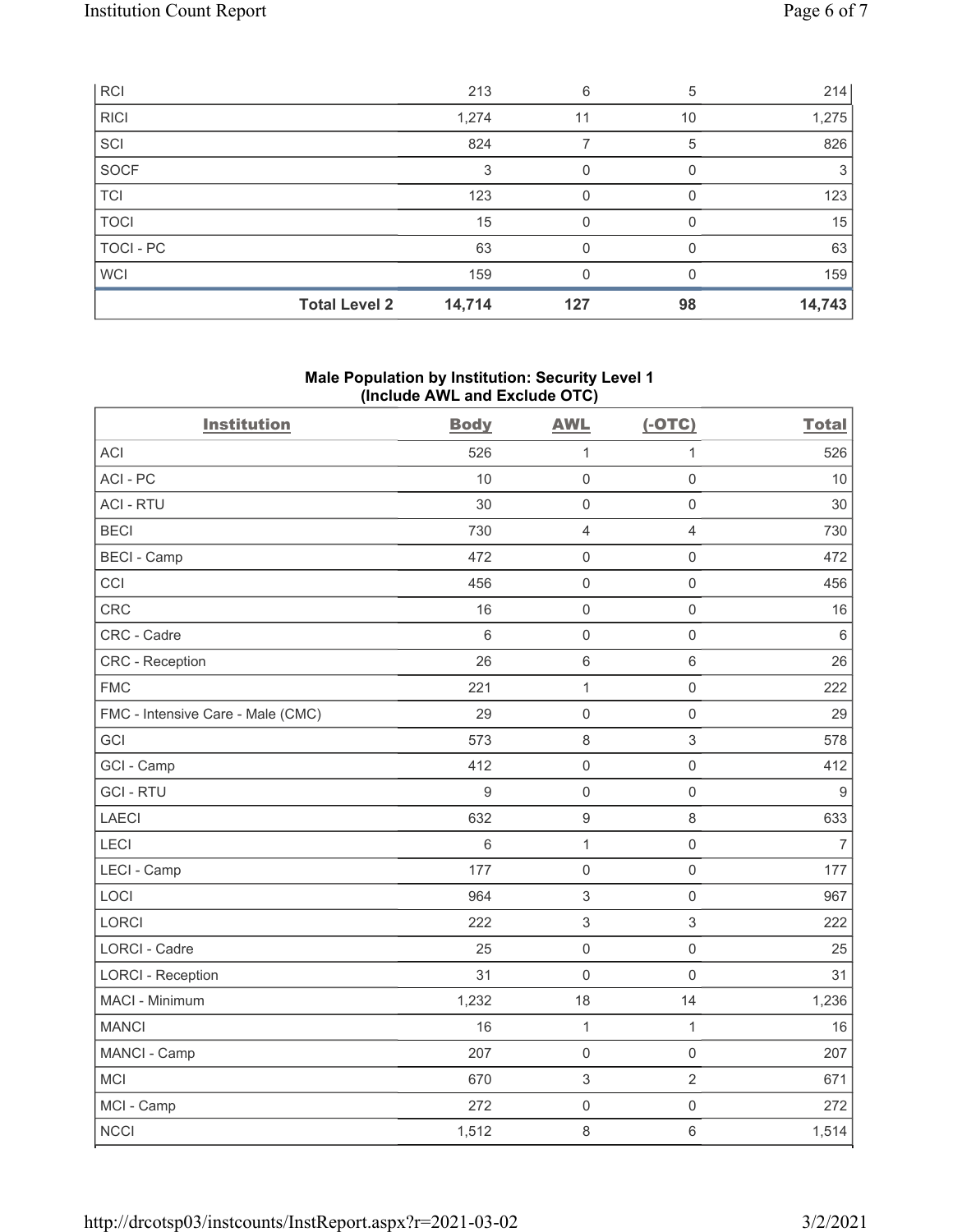| <b>RCI</b>       |                      | 213    | 6   | 5  | 214    |
|------------------|----------------------|--------|-----|----|--------|
| <b>RICI</b>      |                      | 1,274  | 11  | 10 | 1,275  |
| SCI              |                      | 824    |     | 5  | 826    |
| SOCF             |                      | 3      | 0   |    | 3      |
| <b>TCI</b>       |                      | 123    | 0   |    | 123    |
| <b>TOCI</b>      |                      | 15     | O   |    | 15     |
| <b>TOCI - PC</b> |                      | 63     | O   |    | 63     |
| <b>WCI</b>       |                      | 159    |     |    | 159    |
|                  | <b>Total Level 2</b> | 14,714 | 127 | 98 | 14,743 |

### Male Population by Institution: Security Level 1 (Include AWL and Exclude OTC)

| <b>Institution</b>                | <b>Body</b>      | <b>AWL</b>          | $(-OTC)$            | <b>Total</b>     |
|-----------------------------------|------------------|---------------------|---------------------|------------------|
| <b>ACI</b>                        | 526              | $\mathbf{1}$        | $\mathbf{1}$        | 526              |
| ACI-PC                            | 10               | 0                   | $\mathsf{O}\xspace$ | 10               |
| <b>ACI - RTU</b>                  | 30               | $\mathbf 0$         | $\mathsf{O}\xspace$ | 30               |
| <b>BECI</b>                       | 730              | $\overline{4}$      | $\overline{4}$      | 730              |
| <b>BECI - Camp</b>                | 472              | $\mathsf{O}\xspace$ | $\mathsf 0$         | 472              |
| CCI                               | 456              | $\mathbf 0$         | $\mathsf{O}\xspace$ | 456              |
| CRC                               | 16               | $\mathsf{O}\xspace$ | $\mathsf 0$         | 16               |
| CRC - Cadre                       | $6\,$            | $\mathbf 0$         | $\mathbf 0$         | $\,6\,$          |
| CRC - Reception                   | 26               | $6\phantom{1}$      | $6\,$               | 26               |
| <b>FMC</b>                        | 221              | $\mathbf{1}$        | $\mathsf 0$         | 222              |
| FMC - Intensive Care - Male (CMC) | 29               | $\mathsf 0$         | $\mathbf 0$         | 29               |
| GCI                               | 573              | $\,8\,$             | $\sqrt{3}$          | 578              |
| GCI - Camp                        | 412              | $\mathsf{O}\xspace$ | $\mathsf 0$         | 412              |
| <b>GCI-RTU</b>                    | $\boldsymbol{9}$ | $\mathsf 0$         | $\mathsf 0$         | $\boldsymbol{9}$ |
| LAECI                             | 632              | $\boldsymbol{9}$    | $\,8\,$             | 633              |
| <b>LECI</b>                       | $6\,$            | $\mathbf{1}$        | $\mathsf 0$         | $\overline{7}$   |
| LECI - Camp                       | 177              | 0                   | $\mathsf{O}\xspace$ | 177              |
| LOCI                              | 964              | $\,$ 3 $\,$         | $\mathsf{O}\xspace$ | 967              |
| LORCI                             | 222              | $\mathfrak{S}$      | 3                   | 222              |
| <b>LORCI - Cadre</b>              | 25               | $\mathsf 0$         | $\mathsf 0$         | 25               |
| <b>LORCI - Reception</b>          | 31               | $\mathbf 0$         | $\mathsf 0$         | 31               |
| MACI - Minimum                    | 1,232            | 18                  | 14                  | 1,236            |
| <b>MANCI</b>                      | 16               | $\mathbf{1}$        | $\mathbf{1}$        | 16               |
| MANCI - Camp                      | 207              | $\mathsf{O}\xspace$ | $\mathsf 0$         | 207              |
| <b>MCI</b>                        | 670              | $\,$ 3 $\,$         | $\overline{2}$      | 671              |
| MCI - Camp                        | 272              | $\mathbf 0$         | $\mathsf 0$         | 272              |
| <b>NCCI</b>                       | 1,512            | $\,8\,$             | $\,6\,$             | 1,514            |